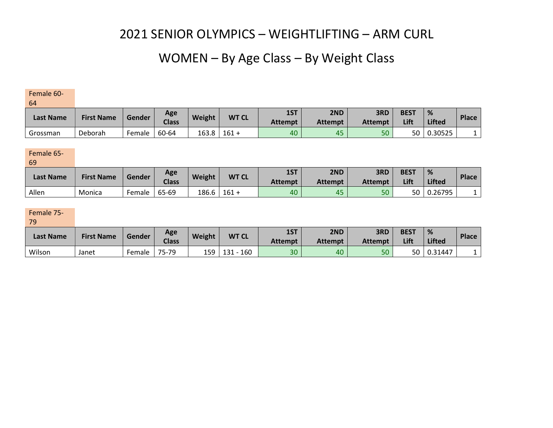## WOMEN – By Age Class – By Weight Class

Female 60-

64

| <b>Last Name</b> | <b>First Name</b> | Gender | Age<br>Weight<br><b>Class</b> | <b>WT CL</b> | 1ST     | 2ND            | 3RD            | <b>BEST</b>    | %    | <b>Place</b>  |  |
|------------------|-------------------|--------|-------------------------------|--------------|---------|----------------|----------------|----------------|------|---------------|--|
|                  |                   |        |                               |              |         | <b>Attempt</b> | <b>Attempt</b> | <b>Attempt</b> | Lift | <b>Lifted</b> |  |
| Grossman         | Deborah           | Female | 60-64                         | 163.8        | $161 +$ | 40             | 45             | 50             | 50   | 0.30525       |  |

### Female 65-

69

| <b>Last Name</b> | <b>First Name</b> | Gender | Age          | <b>Weight</b> | <b>WT CL</b> | 1ST            | 2ND            | 3RD            | <b>BEST</b> | %             | <b>Place</b> |
|------------------|-------------------|--------|--------------|---------------|--------------|----------------|----------------|----------------|-------------|---------------|--------------|
|                  |                   |        | <b>Class</b> |               |              | <b>Attempt</b> | <b>Attempt</b> | <b>Attempt</b> | Lift        | <b>Lifted</b> |              |
| Allen            | Monica            | Female | 65-69        | 186.6         | $161 +$      | 40             | 45             | 50             | 50          | 0.26795       |              |

### Female 75-

79

| <b>Last Name</b> | <b>First Name</b> | Gender | Age<br><b>Class</b> | Weight | <b>WT CL</b> | 1ST            | 2ND            | 3RD            | <b>BEST</b> | %              | <b>Place</b> |
|------------------|-------------------|--------|---------------------|--------|--------------|----------------|----------------|----------------|-------------|----------------|--------------|
|                  |                   |        |                     |        |              | <b>Attempt</b> | <b>Attempt</b> | <b>Attempt</b> | Lift        | <b>Lifted</b>  |              |
| Wilson           | Janet             | Female | 75-79               | 159    | 160<br>131   | 30             | 40             | 50             | 50          | $\mid 0.31447$ |              |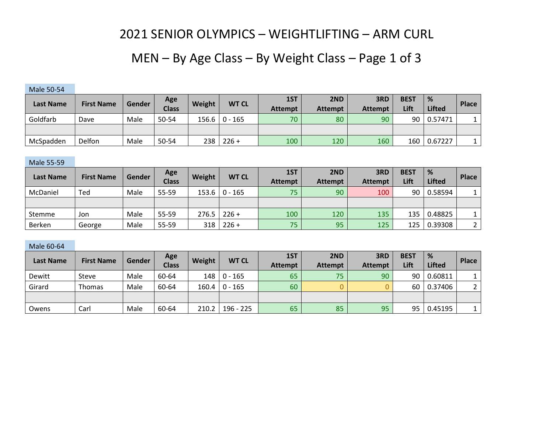## MEN – By Age Class – By Weight Class – Page 1 of 3

| .                |                   |        |                     |        |                   |                       |                       |                       |                     |                    |       |
|------------------|-------------------|--------|---------------------|--------|-------------------|-----------------------|-----------------------|-----------------------|---------------------|--------------------|-------|
| <b>Last Name</b> | <b>First Name</b> | Gender | Age<br><b>Class</b> | Weight | <b>WT CL</b>      | 1ST<br><b>Attempt</b> | 2ND<br><b>Attempt</b> | 3RD<br><b>Attempt</b> | <b>BEST</b><br>Lift | %<br><b>Lifted</b> | Place |
| Goldfarb         | Dave              | Male   | 50-54               |        | $156.6$   0 - 165 | 70                    | 80                    | 90                    | 90                  | 0.57471            |       |
|                  |                   |        |                     |        |                   |                       |                       |                       |                     |                    |       |
| McSpadden        | Delfon            | Male   | 50-54               | 238    | $226 +$           | 100                   | 120                   | 160                   | 160                 | 0.67227            |       |

#### Male 55-59

Male 50-54

| Last Name     | <b>First Name</b> | Gender | Age          | Weight | <b>WT CL</b>      | 1ST            | 2ND            | 3RD            | <b>BEST</b> | %             | <b>Place</b> |
|---------------|-------------------|--------|--------------|--------|-------------------|----------------|----------------|----------------|-------------|---------------|--------------|
|               |                   |        | <b>Class</b> |        |                   | <b>Attempt</b> | <b>Attempt</b> | <b>Attempt</b> | Lift        | <b>Lifted</b> |              |
| McDaniel      | Ted               | Male   | 55-59        |        | $153.6$   0 - 165 | 75             | 90             | 100            | 90          | 0.58594       |              |
|               |                   |        |              |        |                   |                |                |                |             |               |              |
| Stemme        | Jon               | Male   | 55-59        | 276.5  | $226 +$           | 100            | 120            | 135            | 135         | 0.48825       |              |
| <b>Berken</b> | George            | Male   | 55-59        | 318    | $226 +$           | 75             | 95             | 125            | 125         | 0.39308       |              |

#### Male 60-64

| <b>Last Name</b> | <b>First Name</b> | Gender | Age          | Weight | <b>WT CL</b>    | 1ST            | 2ND            | 3RD            | <b>BEST</b> | %             | <b>Place</b> |
|------------------|-------------------|--------|--------------|--------|-----------------|----------------|----------------|----------------|-------------|---------------|--------------|
|                  |                   |        | <b>Class</b> |        |                 | <b>Attempt</b> | <b>Attempt</b> | <b>Attempt</b> | Lift        | <b>Lifted</b> |              |
| Dewitt           | Steve             | Male   | 60-64        |        | $148$   0 - 165 | 65             | 75             | 90             | 90          | 0.60811       |              |
| Girard           | Thomas            | Male   | 60-64        |        | 160.4   0 - 165 | 60             |                |                | 60          | 0.37406       |              |
|                  |                   |        |              |        |                 |                |                |                |             |               |              |
| Owens            | Carl              | Male   | 60-64        | 210.2  | 196 - 225       | 65             | 85             | 95             | 95          | 0.45195       |              |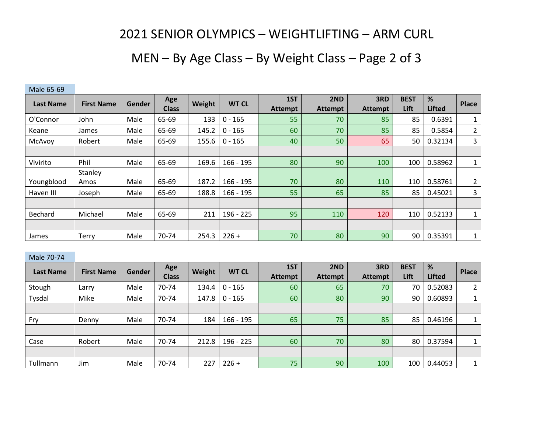# MEN – By Age Class – By Weight Class – Page 2 of 3

| <b>NIGLE 02-02</b> |                   |               |                     |        |              |                       |                       |                       |                     |                    |                |
|--------------------|-------------------|---------------|---------------------|--------|--------------|-----------------------|-----------------------|-----------------------|---------------------|--------------------|----------------|
| <b>Last Name</b>   | <b>First Name</b> | <b>Gender</b> | Age<br><b>Class</b> | Weight | <b>WT CL</b> | 1ST<br><b>Attempt</b> | 2ND<br><b>Attempt</b> | 3RD<br><b>Attempt</b> | <b>BEST</b><br>Lift | %<br><b>Lifted</b> | Place          |
| O'Connor           | John              | Male          | 65-69               | 133    | $0 - 165$    | 55                    | 70                    | 85                    | 85                  | 0.6391             |                |
| Keane              | James             | Male          | 65-69               | 145.2  | $0 - 165$    | 60                    | 70                    | 85                    | 85                  | 0.5854             | $\overline{2}$ |
| McAvoy             | Robert            | Male          | 65-69               | 155.6  | $0 - 165$    | 40                    | 50                    | 65                    | 50                  | 0.32134            | 3              |
|                    |                   |               |                     |        |              |                       |                       |                       |                     |                    |                |
| Vivirito           | Phil              | Male          | 65-69               | 169.6  | $166 - 195$  | 80                    | 90                    | 100                   | 100                 | 0.58962            | 1              |
| Youngblood         | Stanley<br>Amos   | Male          | 65-69               | 187.2  | $166 - 195$  | 70                    | 80                    | 110                   | 110                 | 0.58761            | $\overline{2}$ |
| Haven III          | Joseph            | Male          | 65-69               | 188.8  | $166 - 195$  | 55                    | 65                    | 85                    | 85                  | 0.45021            | 3              |
|                    |                   |               |                     |        |              |                       |                       |                       |                     |                    |                |
| Bechard            | Michael           | Male          | 65-69               | 211    | $196 - 225$  | 95                    | 110                   | 120                   | 110                 | 0.52133            | 1              |
|                    |                   |               |                     |        |              |                       |                       |                       |                     |                    |                |
| James              | Terry             | Male          | 70-74               | 254.3  | $226 +$      | 70                    | 80                    | 90                    | 90                  | 0.35391            | $\mathbf{1}$   |

 $M<sub>2</sub>$  65-69

### Male 70-74

| <b>Last Name</b> | <b>First Name</b> | <b>Gender</b> | Age<br><b>Class</b> | Weight | <b>WT CL</b> | 1ST<br><b>Attempt</b> | 2ND<br><b>Attempt</b> | 3RD<br><b>Attempt</b> | <b>BEST</b><br>Lift | %<br><b>Lifted</b> | <b>Place</b> |
|------------------|-------------------|---------------|---------------------|--------|--------------|-----------------------|-----------------------|-----------------------|---------------------|--------------------|--------------|
| Stough           | Larry             | Male          | 70-74               | 134.4  | $0 - 165$    | 60                    | 65                    | 70                    | 70                  | 0.52083            | 2            |
| Tysdal           | Mike              | Male          | 70-74               | 147.8  | $0 - 165$    | 60                    | 80                    | 90                    | 90                  | 0.60893            |              |
|                  |                   |               |                     |        |              |                       |                       |                       |                     |                    |              |
| Fry              | Denny             | Male          | 70-74               | 184    | $166 - 195$  | 65                    | 75                    | 85                    | 85                  | 0.46196            |              |
|                  |                   |               |                     |        |              |                       |                       |                       |                     |                    |              |
| Case             | Robert            | Male          | 70-74               | 212.8  | 196 - 225    | 60                    | 70                    | 80                    | 80                  | 0.37594            |              |
|                  |                   |               |                     |        |              |                       |                       |                       |                     |                    |              |
| Tullmann         | Jim               | Male          | 70-74               | 227    | $226 +$      | 75                    | 90                    | 100                   | 100                 | 0.44053            |              |